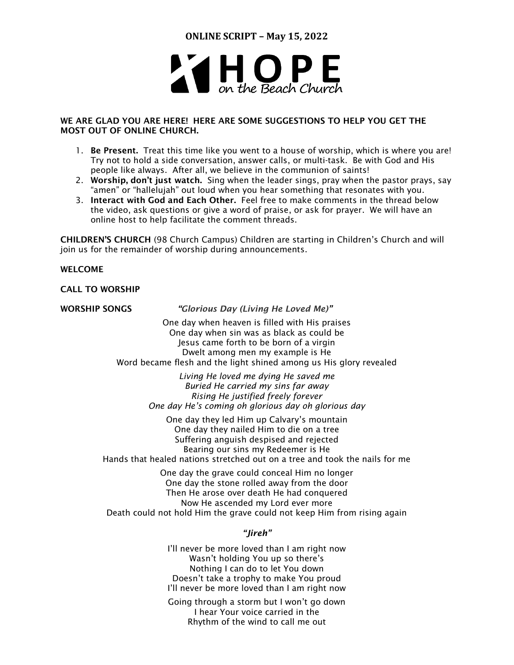**ONLINE SCRIPT – May 15, 2022**



# WE ARE GLAD YOU ARE HERE! HERE ARE SOME SUGGESTIONS TO HELP YOU GET THE MOST OUT OF ONLINE CHURCH.

- 1. Be Present. Treat this time like you went to a house of worship, which is where you are! Try not to hold a side conversation, answer calls, or multi-task. Be with God and His people like always. After all, we believe in the communion of saints!
- 2. Worship, don't just watch. Sing when the leader sings, pray when the pastor prays, say "amen" or "hallelujah" out loud when you hear something that resonates with you.
- 3. Interact with God and Each Other. Feel free to make comments in the thread below the video, ask questions or give a word of praise, or ask for prayer. We will have an online host to help facilitate the comment threads.

CHILDREN'S CHURCH (98 Church Campus) Children are starting in Children's Church and will join us for the remainder of worship during announcements.

# WELCOME

CALL TO WORSHIP

WORSHIP SONGS *"Glorious Day (Living He Loved Me)"*

One day when heaven is filled with His praises One day when sin was as black as could be Jesus came forth to be born of a virgin Dwelt among men my example is He Word became flesh and the light shined among us His glory revealed

> *Living He loved me dying He saved me Buried He carried my sins far away Rising He justified freely forever One day He's coming oh glorious day oh glorious day*

One day they led Him up Calvary's mountain One day they nailed Him to die on a tree Suffering anguish despised and rejected Bearing our sins my Redeemer is He

Hands that healed nations stretched out on a tree and took the nails for me

One day the grave could conceal Him no longer One day the stone rolled away from the door Then He arose over death He had conquered Now He ascended my Lord ever more Death could not hold Him the grave could not keep Him from rising again

# *"Jireh"*

I'll never be more loved than I am right now Wasn't holding You up so there's Nothing I can do to let You down Doesn't take a trophy to make You proud I'll never be more loved than I am right now

Going through a storm but I won't go down I hear Your voice carried in the Rhythm of the wind to call me out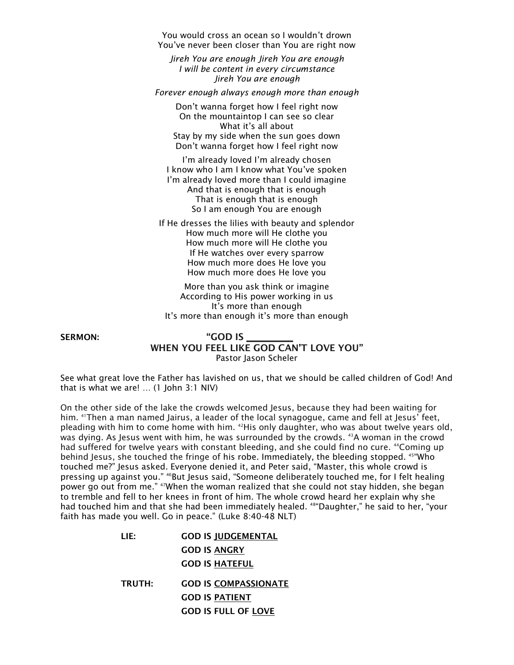You would cross an ocean so I wouldn't drown You've never been closer than You are right now

*Jireh You are enough Jireh You are enough I will be content in every circumstance Jireh You are enough* 

*Forever enough always enough more than enough*

Don't wanna forget how I feel right now On the mountaintop I can see so clear What it's all about Stay by my side when the sun goes down Don't wanna forget how I feel right now

I'm already loved I'm already chosen I know who I am I know what You've spoken I'm already loved more than I could imagine And that is enough that is enough That is enough that is enough So I am enough You are enough

If He dresses the lilies with beauty and splendor How much more will He clothe you How much more will He clothe you If He watches over every sparrow How much more does He love you How much more does He love you

More than you ask think or imagine According to His power working in us It's more than enough It's more than enough it's more than enough

# SERMON: "GOD IS WHEN YOU FEEL LIKE GOD CAN'T LOVE YOU" Pastor Jason Scheler

See what great love the Father has lavished on us, that we should be called children of God! And that is what we are! … (1 John 3:1 NIV)

On the other side of the lake the crowds welcomed Jesus, because they had been waiting for him. <sup>41</sup>Then a man named Jairus, a leader of the local synagogue, came and fell at Jesus' feet, pleading with him to come home with him. <sup>42</sup>His only daughter, who was about twelve years old, was dying. As Jesus went with him, he was surrounded by the crowds. <sup>43</sup>A woman in the crowd had suffered for twelve years with constant bleeding, and she could find no cure. <sup>44</sup>Coming up behind Jesus, she touched the fringe of his robe. Immediately, the bleeding stopped. <sup>45"</sup>Who touched me?" Jesus asked. Everyone denied it, and Peter said, "Master, this whole crowd is pressing up against you." <sup>46</sup>But Jesus said, "Someone deliberately touched me, for I felt healing power go out from me." <sup>47</sup>When the woman realized that she could not stay hidden, she began to tremble and fell to her knees in front of him. The whole crowd heard her explain why she had touched him and that she had been immediately healed. <sup>48"</sup>Daughter," he said to her, "your faith has made you well. Go in peace." (Luke 8:40-48 NLT)

| LIF:          | <b>GOD IS IUDGEMENTAL</b>   |
|---------------|-----------------------------|
|               | <b>GOD IS ANGRY</b>         |
|               | <b>GOD IS HATEFUL</b>       |
| <b>TRUTH:</b> | <b>GOD IS COMPASSIONATE</b> |
|               | <b>GOD IS PATIENT</b>       |
|               | <b>GOD IS FULL OF LOVE</b>  |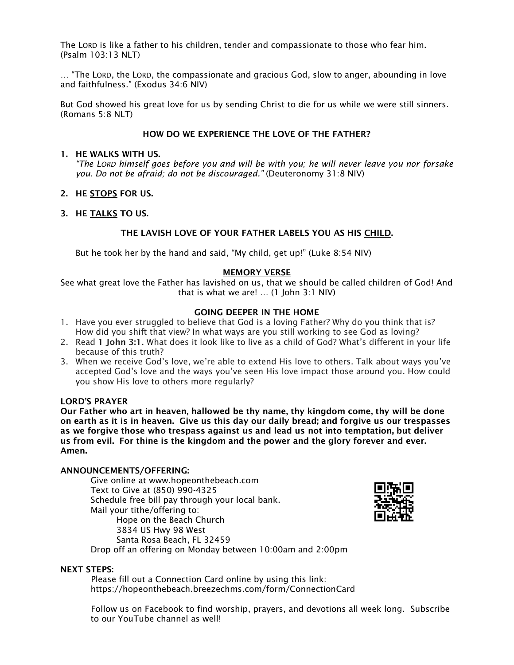The LORD is like a father to his children, tender and compassionate to those who fear him. (Psalm 103:13 NLT)

… "The LORD, the LORD, the compassionate and gracious God, slow to anger, abounding in love and faithfulness." (Exodus 34:6 NIV)

But God showed his great love for us by sending Christ to die for us while we were still sinners. (Romans 5:8 NLT)

# HOW DO WE EXPERIENCE THE LOVE OF THE FATHER?

#### 1. HE WALKS WITH US.

*"The LORD himself goes before you and will be with you; he will never leave you nor forsake you. Do not be afraid; do not be discouraged."* (Deuteronomy 31:8 NIV)

# 2. HE STOPS FOR US.

### 3. HE TALKS TO US.

### THE LAVISH LOVE OF YOUR FATHER LABELS YOU AS HIS CHILD.

But he took her by the hand and said, "My child, get up!" (Luke 8:54 NIV)

#### MEMORY VERSE

See what great love the Father has lavished on us, that we should be called children of God! And that is what we are! … (1 John 3:1 NIV)

#### GOING DEEPER IN THE HOME

- 1. Have you ever struggled to believe that God is a loving Father? Why do you think that is? How did you shift that view? In what ways are you still working to see God as loving?
- 2. Read 1 John 3:1. What does it look like to live as a child of God? What's different in your life because of this truth?
- 3. When we receive God's love, we're able to extend His love to others. Talk about ways you've accepted God's love and the ways you've seen His love impact those around you. How could you show His love to others more regularly?

### LORD'S PRAYER

Our Father who art in heaven, hallowed be thy name, thy kingdom come, thy will be done on earth as it is in heaven. Give us this day our daily bread; and forgive us our trespasses as we forgive those who trespass against us and lead us not into temptation, but deliver us from evil. For thine is the kingdom and the power and the glory forever and ever. Amen.

## ANNOUNCEMENTS/OFFERING:

Give online at [www.hopeonthebeach.com](http://www.hopeonthebeach.com/) Text to Give at (850) 990-4325 Schedule free bill pay through your local bank. Mail your tithe/offering to: Hope on the Beach Church 3834 US Hwy 98 West Santa Rosa Beach, FL 32459 Drop off an offering on Monday between 10:00am and 2:00pm



#### NEXT STEPS:

Please fill out a Connection Card online by using this link: <https://hopeonthebeach.breezechms.com/form/ConnectionCard>

Follow us on Facebook to find worship, prayers, and devotions all week long. Subscribe to our YouTube channel as well!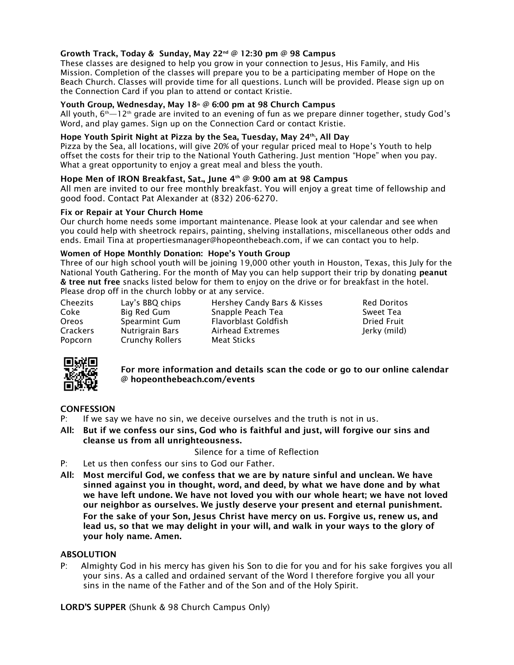# Growth Track, Today & Sunday, May 22nd @ 12:30 pm @ 98 Campus

These classes are designed to help you grow in your connection to Jesus, His Family, and His Mission. Completion of the classes will prepare you to be a participating member of Hope on the Beach Church. Classes will provide time for all questions. Lunch will be provided. Please sign up on the Connection Card if you plan to attend or contact Kristie.

### Youth Group, Wednesday, May  $18^{\omega}$  @ 6:00 pm at 98 Church Campus

All youth,  $6^{\text{th}}-12^{\text{th}}$  grade are invited to an evening of fun as we prepare dinner together, study God's Word, and play games. Sign up on the Connection Card or contact Kristie.

#### Hope Youth Spirit Night at Pizza by the Sea, Tuesday, May 24th, All Day

Pizza by the Sea, all locations, will give 20% of your regular priced meal to Hope's Youth to help offset the costs for their trip to the National Youth Gathering. Just mention "Hope" when you pay. What a great opportunity to enjoy a great meal and bless the youth.

#### Hope Men of IRON Breakfast, Sat., June 4th @ 9:00 am at 98 Campus

All men are invited to our free monthly breakfast. You will enjoy a great time of fellowship and good food. Contact Pat Alexander at (832) 206-6270.

#### Fix or Repair at Your Church Home

Our church home needs some important maintenance. Please look at your calendar and see when you could help with sheetrock repairs, painting, shelving installations, miscellaneous other odds and ends. Email Tina at propertiesmanager@hopeonthebeach.com, if we can contact you to help.

#### Women of Hope Monthly Donation: Hope's Youth Group

Three of our high school youth will be joining 19,000 other youth in Houston, Texas, this July for the National Youth Gathering. For the month of May you can help support their trip by donating peanut & tree nut free snacks listed below for them to enjoy on the drive or for breakfast in the hotel. Please drop off in the church lobby or at any service.

| Cheezits | Lay's BBQ chips        | Hershey Candy Bars & Kisses | <b>Red Doritos</b> |
|----------|------------------------|-----------------------------|--------------------|
| Coke     | Big Red Gum            | Snapple Peach Tea           | Sweet Tea          |
| Oreos    | Spearmint Gum          | Flavorblast Goldfish        | <b>Dried Fruit</b> |
| Crackers | Nutrigrain Bars        | Airhead Extremes            | Jerky (mild)       |
| Popcorn  | <b>Crunchy Rollers</b> | Meat Sticks                 |                    |



For more information and details scan the code or go to our online calendar @ hopeonthebeach.com/events

### **CONFESSION**

- P: If we say we have no sin, we deceive ourselves and the truth is not in us.
- All: But if we confess our sins, God who is faithful and just, will forgive our sins and cleanse us from all unrighteousness.

Silence for a time of Reflection

- P: Let us then confess our sins to God our Father.
- All: Most merciful God, we confess that we are by nature sinful and unclean. We have sinned against you in thought, word, and deed, by what we have done and by what we have left undone. We have not loved you with our whole heart; we have not loved our neighbor as ourselves. We justly deserve your present and eternal punishment. For the sake of your Son, Jesus Christ have mercy on us. Forgive us, renew us, and lead us, so that we may delight in your will, and walk in your ways to the glory of your holy name. Amen.

#### ABSOLUTION

P: Almighty God in his mercy has given his Son to die for you and for his sake forgives you all your sins. As a called and ordained servant of the Word I therefore forgive you all your sins in the name of the Father and of the Son and of the Holy Spirit.

LORD'S SUPPER (Shunk & 98 Church Campus Only)